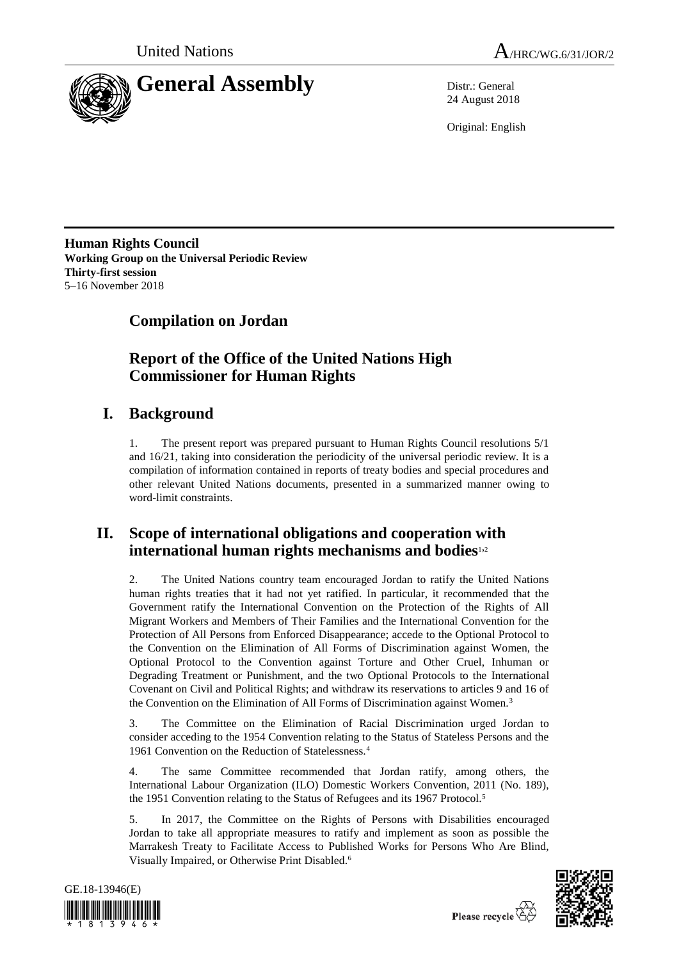



24 August 2018

Original: English

**Human Rights Council Working Group on the Universal Periodic Review Thirty-first session** 5–16 November 2018

# **Compilation on Jordan**

## **Report of the Office of the United Nations High Commissioner for Human Rights**

# **I. Background**

1. The present report was prepared pursuant to Human Rights Council resolutions 5/1 and 16/21, taking into consideration the periodicity of the universal periodic review. It is a compilation of information contained in reports of treaty bodies and special procedures and other relevant United Nations documents, presented in a summarized manner owing to word-limit constraints.

## **II. Scope of international obligations and cooperation with international human rights mechanisms and bodies**1,<sup>2</sup>

2. The United Nations country team encouraged Jordan to ratify the United Nations human rights treaties that it had not yet ratified. In particular, it recommended that the Government ratify the International Convention on the Protection of the Rights of All Migrant Workers and Members of Their Families and the International Convention for the Protection of All Persons from Enforced Disappearance; accede to the Optional Protocol to the Convention on the Elimination of All Forms of Discrimination against Women, the Optional Protocol to the Convention against Torture and Other Cruel, Inhuman or Degrading Treatment or Punishment, and the two Optional Protocols to the International Covenant on Civil and Political Rights; and withdraw its reservations to articles 9 and 16 of the Convention on the Elimination of All Forms of Discrimination against Women.<sup>3</sup>

3. The Committee on the Elimination of Racial Discrimination urged Jordan to consider acceding to the 1954 Convention relating to the Status of Stateless Persons and the 1961 Convention on the Reduction of Statelessness.<sup>4</sup>

4. The same Committee recommended that Jordan ratify, among others, the International Labour Organization (ILO) Domestic Workers Convention, 2011 (No. 189), the 1951 Convention relating to the Status of Refugees and its 1967 Protocol.<sup>5</sup>

5. In 2017, the Committee on the Rights of Persons with Disabilities encouraged Jordan to take all appropriate measures to ratify and implement as soon as possible the Marrakesh Treaty to Facilitate Access to Published Works for Persons Who Are Blind, Visually Impaired, or Otherwise Print Disabled.<sup>6</sup>



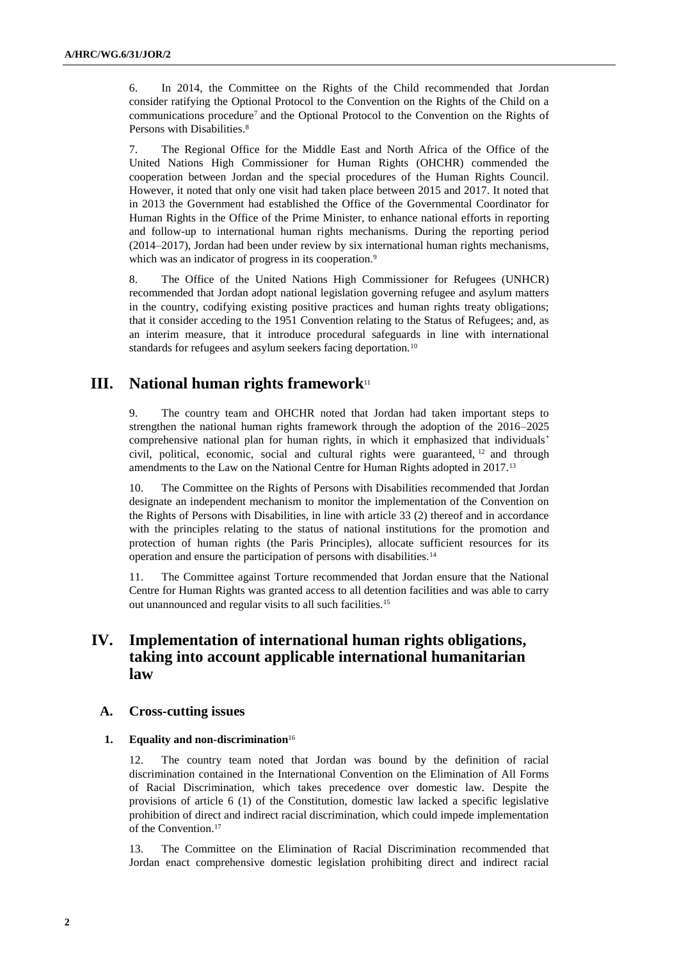6. In 2014, the Committee on the Rights of the Child recommended that Jordan consider ratifying the Optional Protocol to the Convention on the Rights of the Child on a communications procedure<sup>7</sup> and the Optional Protocol to the Convention on the Rights of Persons with Disabilities.<sup>8</sup>

7. The Regional Office for the Middle East and North Africa of the Office of the United Nations High Commissioner for Human Rights (OHCHR) commended the cooperation between Jordan and the special procedures of the Human Rights Council. However, it noted that only one visit had taken place between 2015 and 2017. It noted that in 2013 the Government had established the Office of the Governmental Coordinator for Human Rights in the Office of the Prime Minister, to enhance national efforts in reporting and follow-up to international human rights mechanisms. During the reporting period (2014–2017), Jordan had been under review by six international human rights mechanisms, which was an indicator of progress in its cooperation.<sup>9</sup>

8. The Office of the United Nations High Commissioner for Refugees (UNHCR) recommended that Jordan adopt national legislation governing refugee and asylum matters in the country, codifying existing positive practices and human rights treaty obligations; that it consider acceding to the 1951 Convention relating to the Status of Refugees; and, as an interim measure, that it introduce procedural safeguards in line with international standards for refugees and asylum seekers facing deportation.<sup>10</sup>

## **III. National human rights framework**<sup>11</sup>

9. The country team and OHCHR noted that Jordan had taken important steps to strengthen the national human rights framework through the adoption of the 2016–2025 comprehensive national plan for human rights, in which it emphasized that individuals' civil, political, economic, social and cultural rights were guaranteed, <sup>12</sup> and through amendments to the Law on the National Centre for Human Rights adopted in 2017.<sup>13</sup>

10. The Committee on the Rights of Persons with Disabilities recommended that Jordan designate an independent mechanism to monitor the implementation of the Convention on the Rights of Persons with Disabilities, in line with article 33 (2) thereof and in accordance with the principles relating to the status of national institutions for the promotion and protection of human rights (the Paris Principles), allocate sufficient resources for its operation and ensure the participation of persons with disabilities.<sup>14</sup>

11. The Committee against Torture recommended that Jordan ensure that the National Centre for Human Rights was granted access to all detention facilities and was able to carry out unannounced and regular visits to all such facilities.<sup>15</sup>

## **IV. Implementation of international human rights obligations, taking into account applicable international humanitarian law**

## **A. Cross-cutting issues**

#### **1. Equality and non-discrimination**<sup>16</sup>

12. The country team noted that Jordan was bound by the definition of racial discrimination contained in the International Convention on the Elimination of All Forms of Racial Discrimination, which takes precedence over domestic law. Despite the provisions of article 6 (1) of the Constitution, domestic law lacked a specific legislative prohibition of direct and indirect racial discrimination, which could impede implementation of the Convention.<sup>17</sup>

13. The Committee on the Elimination of Racial Discrimination recommended that Jordan enact comprehensive domestic legislation prohibiting direct and indirect racial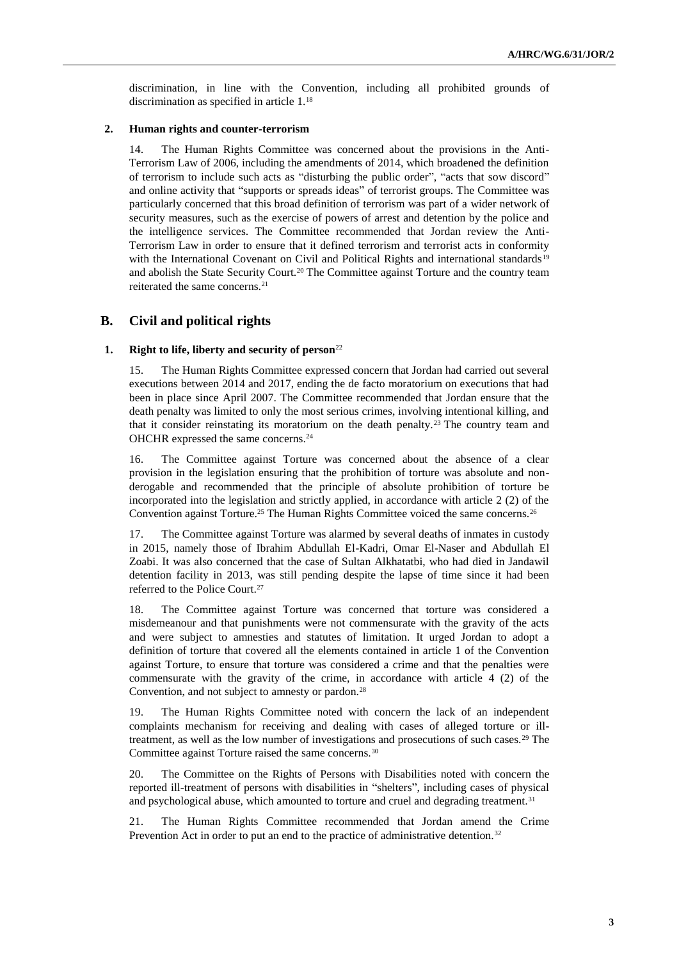discrimination, in line with the Convention, including all prohibited grounds of discrimination as specified in article 1.<sup>18</sup>

#### **2. Human rights and counter-terrorism**

14. The Human Rights Committee was concerned about the provisions in the Anti-Terrorism Law of 2006, including the amendments of 2014, which broadened the definition of terrorism to include such acts as "disturbing the public order", "acts that sow discord" and online activity that "supports or spreads ideas" of terrorist groups. The Committee was particularly concerned that this broad definition of terrorism was part of a wider network of security measures, such as the exercise of powers of arrest and detention by the police and the intelligence services. The Committee recommended that Jordan review the Anti-Terrorism Law in order to ensure that it defined terrorism and terrorist acts in conformity with the International Covenant on Civil and Political Rights and international standards<sup>19</sup> and abolish the State Security Court.<sup>20</sup> The Committee against Torture and the country team reiterated the same concerns.<sup>21</sup>

## **B. Civil and political rights**

## **1. Right to life, liberty and security of person**<sup>22</sup>

15. The Human Rights Committee expressed concern that Jordan had carried out several executions between 2014 and 2017, ending the de facto moratorium on executions that had been in place since April 2007. The Committee recommended that Jordan ensure that the death penalty was limited to only the most serious crimes, involving intentional killing, and that it consider reinstating its moratorium on the death penalty.<sup>23</sup> The country team and OHCHR expressed the same concerns.<sup>24</sup>

16. The Committee against Torture was concerned about the absence of a clear provision in the legislation ensuring that the prohibition of torture was absolute and nonderogable and recommended that the principle of absolute prohibition of torture be incorporated into the legislation and strictly applied, in accordance with article 2 (2) of the Convention against Torture.<sup>25</sup> The Human Rights Committee voiced the same concerns.<sup>26</sup>

17. The Committee against Torture was alarmed by several deaths of inmates in custody in 2015, namely those of Ibrahim Abdullah El-Kadri, Omar El-Naser and Abdullah El Zoabi. It was also concerned that the case of Sultan Alkhatatbi, who had died in Jandawil detention facility in 2013, was still pending despite the lapse of time since it had been referred to the Police Court.<sup>27</sup>

18. The Committee against Torture was concerned that torture was considered a misdemeanour and that punishments were not commensurate with the gravity of the acts and were subject to amnesties and statutes of limitation. It urged Jordan to adopt a definition of torture that covered all the elements contained in article 1 of the Convention against Torture, to ensure that torture was considered a crime and that the penalties were commensurate with the gravity of the crime, in accordance with article 4 (2) of the Convention, and not subject to amnesty or pardon.<sup>28</sup>

19. The Human Rights Committee noted with concern the lack of an independent complaints mechanism for receiving and dealing with cases of alleged torture or illtreatment, as well as the low number of investigations and prosecutions of such cases.<sup>29</sup> The Committee against Torture raised the same concerns.<sup>30</sup>

20. The Committee on the Rights of Persons with Disabilities noted with concern the reported ill-treatment of persons with disabilities in "shelters", including cases of physical and psychological abuse, which amounted to torture and cruel and degrading treatment.<sup>31</sup>

21. The Human Rights Committee recommended that Jordan amend the Crime Prevention Act in order to put an end to the practice of administrative detention.<sup>32</sup>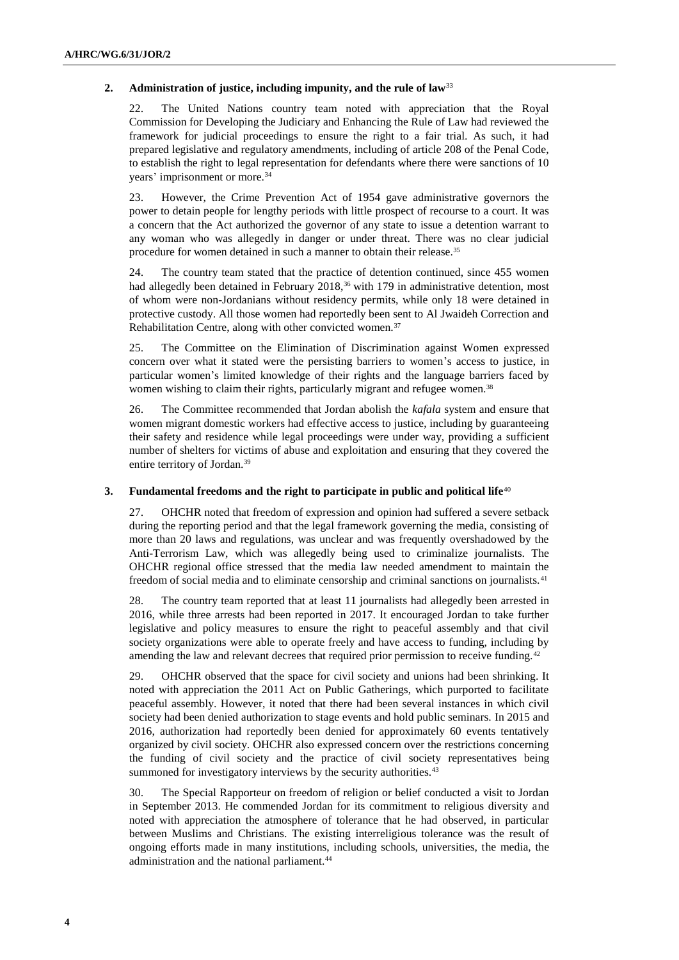## **2. Administration of justice, including impunity, and the rule of law**<sup>33</sup>

22. The United Nations country team noted with appreciation that the Royal Commission for Developing the Judiciary and Enhancing the Rule of Law had reviewed the framework for judicial proceedings to ensure the right to a fair trial. As such, it had prepared legislative and regulatory amendments, including of article 208 of the Penal Code, to establish the right to legal representation for defendants where there were sanctions of 10 years' imprisonment or more.<sup>34</sup>

23. However, the Crime Prevention Act of 1954 gave administrative governors the power to detain people for lengthy periods with little prospect of recourse to a court. It was a concern that the Act authorized the governor of any state to issue a detention warrant to any woman who was allegedly in danger or under threat. There was no clear judicial procedure for women detained in such a manner to obtain their release.<sup>35</sup>

24. The country team stated that the practice of detention continued, since 455 women had allegedly been detained in February 2018,<sup>36</sup> with 179 in administrative detention, most of whom were non-Jordanians without residency permits, while only 18 were detained in protective custody. All those women had reportedly been sent to Al Jwaideh Correction and Rehabilitation Centre, along with other convicted women.<sup>37</sup>

25. The Committee on the Elimination of Discrimination against Women expressed concern over what it stated were the persisting barriers to women's access to justice, in particular women's limited knowledge of their rights and the language barriers faced by women wishing to claim their rights, particularly migrant and refugee women.<sup>38</sup>

26. The Committee recommended that Jordan abolish the *kafala* system and ensure that women migrant domestic workers had effective access to justice, including by guaranteeing their safety and residence while legal proceedings were under way, providing a sufficient number of shelters for victims of abuse and exploitation and ensuring that they covered the entire territory of Jordan.<sup>39</sup>

### **3. Fundamental freedoms and the right to participate in public and political life**<sup>40</sup>

27. OHCHR noted that freedom of expression and opinion had suffered a severe setback during the reporting period and that the legal framework governing the media, consisting of more than 20 laws and regulations, was unclear and was frequently overshadowed by the Anti-Terrorism Law, which was allegedly being used to criminalize journalists. The OHCHR regional office stressed that the media law needed amendment to maintain the freedom of social media and to eliminate censorship and criminal sanctions on journalists.<sup>41</sup>

28. The country team reported that at least 11 journalists had allegedly been arrested in 2016, while three arrests had been reported in 2017. It encouraged Jordan to take further legislative and policy measures to ensure the right to peaceful assembly and that civil society organizations were able to operate freely and have access to funding, including by amending the law and relevant decrees that required prior permission to receive funding.<sup>42</sup>

29. OHCHR observed that the space for civil society and unions had been shrinking. It noted with appreciation the 2011 Act on Public Gatherings, which purported to facilitate peaceful assembly. However, it noted that there had been several instances in which civil society had been denied authorization to stage events and hold public seminars. In 2015 and 2016, authorization had reportedly been denied for approximately 60 events tentatively organized by civil society. OHCHR also expressed concern over the restrictions concerning the funding of civil society and the practice of civil society representatives being summoned for investigatory interviews by the security authorities.<sup>43</sup>

30. The Special Rapporteur on freedom of religion or belief conducted a visit to Jordan in September 2013. He commended Jordan for its commitment to religious diversity and noted with appreciation the atmosphere of tolerance that he had observed, in particular between Muslims and Christians. The existing interreligious tolerance was the result of ongoing efforts made in many institutions, including schools, universities, the media, the administration and the national parliament.44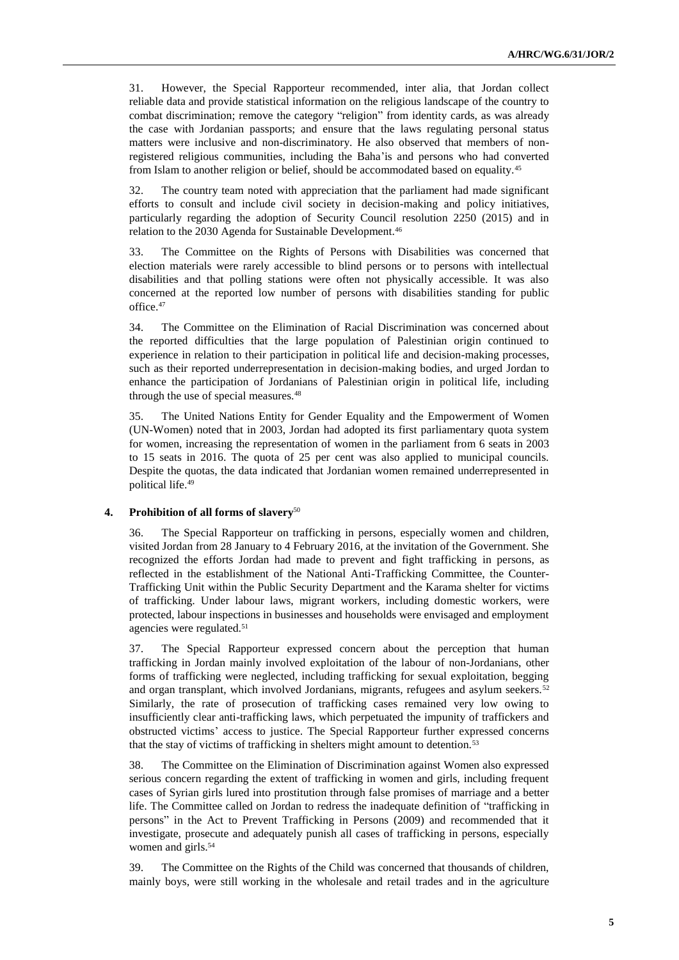31. However, the Special Rapporteur recommended, inter alia, that Jordan collect reliable data and provide statistical information on the religious landscape of the country to combat discrimination; remove the category "religion" from identity cards, as was already the case with Jordanian passports; and ensure that the laws regulating personal status matters were inclusive and non-discriminatory. He also observed that members of nonregistered religious communities, including the Baha'is and persons who had converted from Islam to another religion or belief, should be accommodated based on equality.<sup>45</sup>

32. The country team noted with appreciation that the parliament had made significant efforts to consult and include civil society in decision-making and policy initiatives, particularly regarding the adoption of Security Council resolution 2250 (2015) and in relation to the 2030 Agenda for Sustainable Development.<sup>46</sup>

33. The Committee on the Rights of Persons with Disabilities was concerned that election materials were rarely accessible to blind persons or to persons with intellectual disabilities and that polling stations were often not physically accessible. It was also concerned at the reported low number of persons with disabilities standing for public office.<sup>47</sup>

34. The Committee on the Elimination of Racial Discrimination was concerned about the reported difficulties that the large population of Palestinian origin continued to experience in relation to their participation in political life and decision-making processes, such as their reported underrepresentation in decision-making bodies, and urged Jordan to enhance the participation of Jordanians of Palestinian origin in political life, including through the use of special measures.<sup>48</sup>

35. The United Nations Entity for Gender Equality and the Empowerment of Women (UN-Women) noted that in 2003, Jordan had adopted its first parliamentary quota system for women, increasing the representation of women in the parliament from 6 seats in 2003 to 15 seats in 2016. The quota of 25 per cent was also applied to municipal councils. Despite the quotas, the data indicated that Jordanian women remained underrepresented in political life.<sup>49</sup>

#### **4. Prohibition of all forms of slavery**<sup>50</sup>

36. The Special Rapporteur on trafficking in persons, especially women and children, visited Jordan from 28 January to 4 February 2016, at the invitation of the Government. She recognized the efforts Jordan had made to prevent and fight trafficking in persons, as reflected in the establishment of the National Anti-Trafficking Committee, the Counter-Trafficking Unit within the Public Security Department and the Karama shelter for victims of trafficking. Under labour laws, migrant workers, including domestic workers, were protected, labour inspections in businesses and households were envisaged and employment agencies were regulated.<sup>51</sup>

37. The Special Rapporteur expressed concern about the perception that human trafficking in Jordan mainly involved exploitation of the labour of non-Jordanians, other forms of trafficking were neglected, including trafficking for sexual exploitation, begging and organ transplant, which involved Jordanians, migrants, refugees and asylum seekers.<sup>52</sup> Similarly, the rate of prosecution of trafficking cases remained very low owing to insufficiently clear anti-trafficking laws, which perpetuated the impunity of traffickers and obstructed victims' access to justice. The Special Rapporteur further expressed concerns that the stay of victims of trafficking in shelters might amount to detention.<sup>53</sup>

38. The Committee on the Elimination of Discrimination against Women also expressed serious concern regarding the extent of trafficking in women and girls, including frequent cases of Syrian girls lured into prostitution through false promises of marriage and a better life. The Committee called on Jordan to redress the inadequate definition of "trafficking in persons" in the Act to Prevent Trafficking in Persons (2009) and recommended that it investigate, prosecute and adequately punish all cases of trafficking in persons, especially women and girls.<sup>54</sup>

39. The Committee on the Rights of the Child was concerned that thousands of children, mainly boys, were still working in the wholesale and retail trades and in the agriculture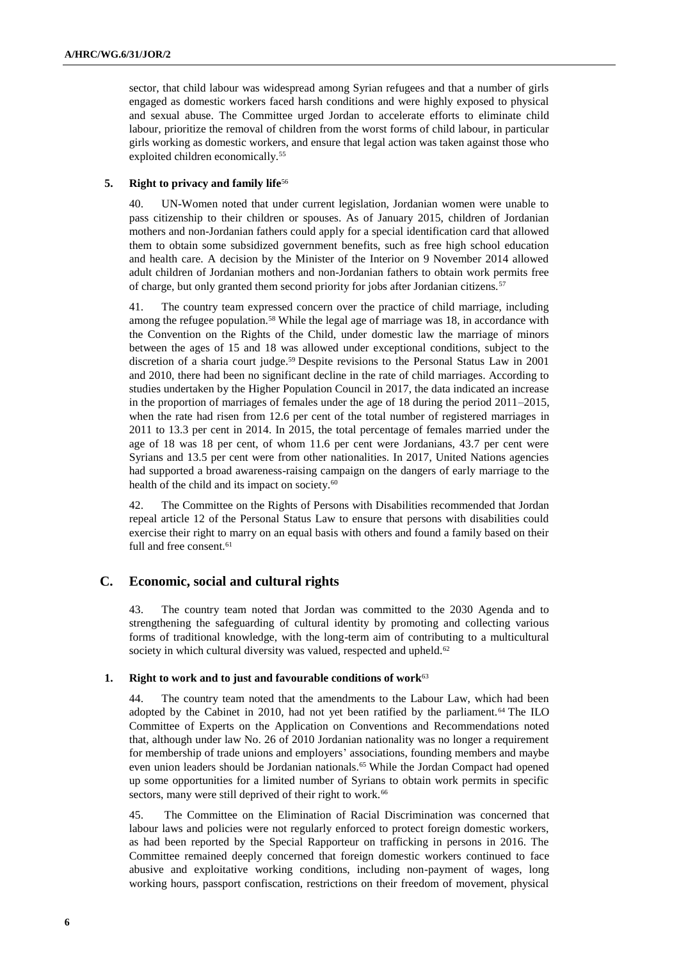sector, that child labour was widespread among Syrian refugees and that a number of girls engaged as domestic workers faced harsh conditions and were highly exposed to physical and sexual abuse. The Committee urged Jordan to accelerate efforts to eliminate child labour, prioritize the removal of children from the worst forms of child labour, in particular girls working as domestic workers, and ensure that legal action was taken against those who exploited children economically.<sup>55</sup>

## **5. Right to privacy and family life**<sup>56</sup>

40. UN-Women noted that under current legislation, Jordanian women were unable to pass citizenship to their children or spouses. As of January 2015, children of Jordanian mothers and non-Jordanian fathers could apply for a special identification card that allowed them to obtain some subsidized government benefits, such as free high school education and health care. A decision by the Minister of the Interior on 9 November 2014 allowed adult children of Jordanian mothers and non-Jordanian fathers to obtain work permits free of charge, but only granted them second priority for jobs after Jordanian citizens.<sup>57</sup>

41. The country team expressed concern over the practice of child marriage, including among the refugee population.<sup>58</sup> While the legal age of marriage was 18, in accordance with the Convention on the Rights of the Child, under domestic law the marriage of minors between the ages of 15 and 18 was allowed under exceptional conditions, subject to the discretion of a sharia court judge.<sup>59</sup> Despite revisions to the Personal Status Law in 2001 and 2010, there had been no significant decline in the rate of child marriages. According to studies undertaken by the Higher Population Council in 2017, the data indicated an increase in the proportion of marriages of females under the age of 18 during the period 2011–2015, when the rate had risen from 12.6 per cent of the total number of registered marriages in 2011 to 13.3 per cent in 2014. In 2015, the total percentage of females married under the age of 18 was 18 per cent, of whom 11.6 per cent were Jordanians, 43.7 per cent were Syrians and 13.5 per cent were from other nationalities. In 2017, United Nations agencies had supported a broad awareness-raising campaign on the dangers of early marriage to the health of the child and its impact on society.<sup>60</sup>

42. The Committee on the Rights of Persons with Disabilities recommended that Jordan repeal article 12 of the Personal Status Law to ensure that persons with disabilities could exercise their right to marry on an equal basis with others and found a family based on their full and free consent.<sup>61</sup>

## **C. Economic, social and cultural rights**

43. The country team noted that Jordan was committed to the 2030 Agenda and to strengthening the safeguarding of cultural identity by promoting and collecting various forms of traditional knowledge, with the long-term aim of contributing to a multicultural society in which cultural diversity was valued, respected and upheld.<sup>62</sup>

### **1. Right to work and to just and favourable conditions of work**<sup>63</sup>

44. The country team noted that the amendments to the Labour Law, which had been adopted by the Cabinet in 2010, had not yet been ratified by the parliament.<sup>64</sup> The ILO Committee of Experts on the Application on Conventions and Recommendations noted that, although under law No. 26 of 2010 Jordanian nationality was no longer a requirement for membership of trade unions and employers' associations, founding members and maybe even union leaders should be Jordanian nationals.<sup>65</sup> While the Jordan Compact had opened up some opportunities for a limited number of Syrians to obtain work permits in specific sectors, many were still deprived of their right to work.<sup>66</sup>

45. The Committee on the Elimination of Racial Discrimination was concerned that labour laws and policies were not regularly enforced to protect foreign domestic workers, as had been reported by the Special Rapporteur on trafficking in persons in 2016. The Committee remained deeply concerned that foreign domestic workers continued to face abusive and exploitative working conditions, including non-payment of wages, long working hours, passport confiscation, restrictions on their freedom of movement, physical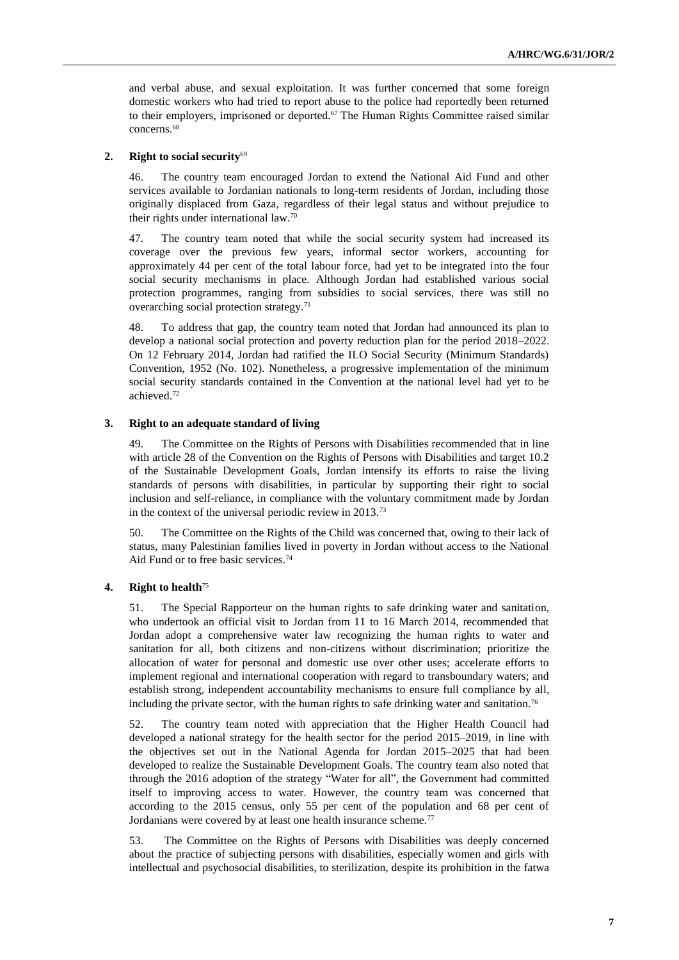and verbal abuse, and sexual exploitation. It was further concerned that some foreign domestic workers who had tried to report abuse to the police had reportedly been returned to their employers, imprisoned or deported.<sup>67</sup> The Human Rights Committee raised similar concerns.<sup>68</sup>

## **2. Right to social security**<sup>69</sup>

46. The country team encouraged Jordan to extend the National Aid Fund and other services available to Jordanian nationals to long-term residents of Jordan, including those originally displaced from Gaza, regardless of their legal status and without prejudice to their rights under international law.<sup>70</sup>

47. The country team noted that while the social security system had increased its coverage over the previous few years, informal sector workers, accounting for approximately 44 per cent of the total labour force, had yet to be integrated into the four social security mechanisms in place. Although Jordan had established various social protection programmes, ranging from subsidies to social services, there was still no overarching social protection strategy.<sup>71</sup>

48. To address that gap, the country team noted that Jordan had announced its plan to develop a national social protection and poverty reduction plan for the period 2018–2022. On 12 February 2014, Jordan had ratified the ILO Social Security (Minimum Standards) Convention, 1952 (No. 102). Nonetheless, a progressive implementation of the minimum social security standards contained in the Convention at the national level had yet to be achieved.<sup>72</sup>

## **3. Right to an adequate standard of living**

49. The Committee on the Rights of Persons with Disabilities recommended that in line with article 28 of the Convention on the Rights of Persons with Disabilities and target 10.2 of the Sustainable Development Goals, Jordan intensify its efforts to raise the living standards of persons with disabilities, in particular by supporting their right to social inclusion and self-reliance, in compliance with the voluntary commitment made by Jordan in the context of the universal periodic review in 2013.<sup>73</sup>

50. The Committee on the Rights of the Child was concerned that, owing to their lack of status, many Palestinian families lived in poverty in Jordan without access to the National Aid Fund or to free basic services.<sup>74</sup>

## **4. Right to health**<sup>75</sup>

51. The Special Rapporteur on the human rights to safe drinking water and sanitation, who undertook an official visit to Jordan from 11 to 16 March 2014, recommended that Jordan adopt a comprehensive water law recognizing the human rights to water and sanitation for all, both citizens and non-citizens without discrimination; prioritize the allocation of water for personal and domestic use over other uses; accelerate efforts to implement regional and international cooperation with regard to transboundary waters; and establish strong, independent accountability mechanisms to ensure full compliance by all, including the private sector, with the human rights to safe drinking water and sanitation.<sup>76</sup>

52. The country team noted with appreciation that the Higher Health Council had developed a national strategy for the health sector for the period 2015–2019, in line with the objectives set out in the National Agenda for Jordan 2015–2025 that had been developed to realize the Sustainable Development Goals. The country team also noted that through the 2016 adoption of the strategy "Water for all", the Government had committed itself to improving access to water. However, the country team was concerned that according to the 2015 census, only 55 per cent of the population and 68 per cent of Jordanians were covered by at least one health insurance scheme.<sup>77</sup>

53. The Committee on the Rights of Persons with Disabilities was deeply concerned about the practice of subjecting persons with disabilities, especially women and girls with intellectual and psychosocial disabilities, to sterilization, despite its prohibition in the fatwa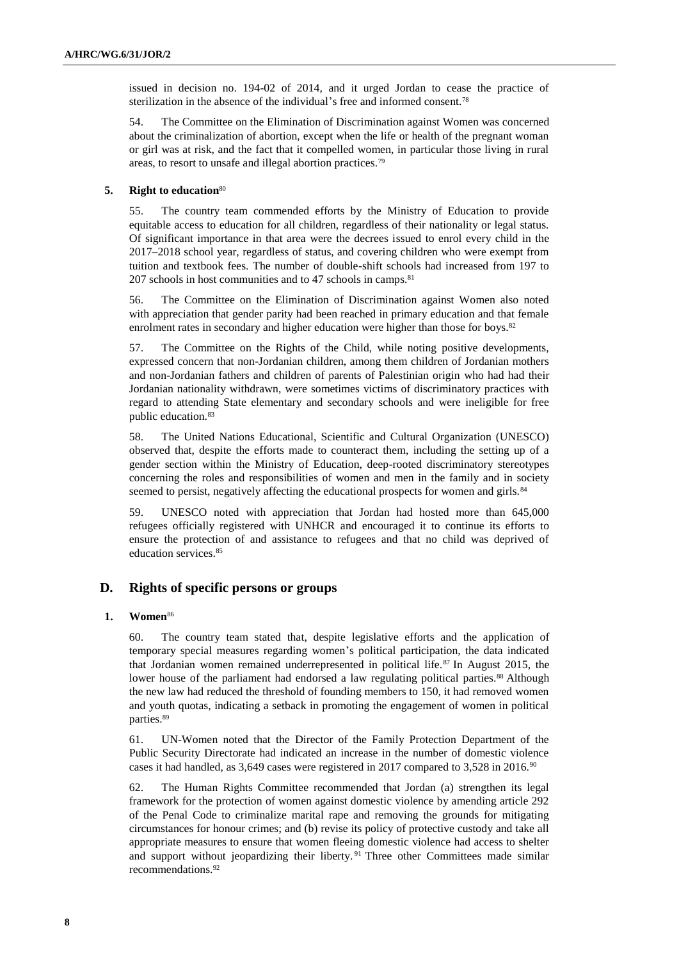issued in decision no. 194-02 of 2014, and it urged Jordan to cease the practice of sterilization in the absence of the individual's free and informed consent.<sup>78</sup>

54. The Committee on the Elimination of Discrimination against Women was concerned about the criminalization of abortion, except when the life or health of the pregnant woman or girl was at risk, and the fact that it compelled women, in particular those living in rural areas, to resort to unsafe and illegal abortion practices.<sup>79</sup>

## **5. Right to education**<sup>80</sup>

55. The country team commended efforts by the Ministry of Education to provide equitable access to education for all children, regardless of their nationality or legal status. Of significant importance in that area were the decrees issued to enrol every child in the 2017–2018 school year, regardless of status, and covering children who were exempt from tuition and textbook fees. The number of double-shift schools had increased from 197 to 207 schools in host communities and to 47 schools in camps.<sup>81</sup>

56. The Committee on the Elimination of Discrimination against Women also noted with appreciation that gender parity had been reached in primary education and that female enrolment rates in secondary and higher education were higher than those for boys.<sup>82</sup>

57. The Committee on the Rights of the Child, while noting positive developments, expressed concern that non-Jordanian children, among them children of Jordanian mothers and non-Jordanian fathers and children of parents of Palestinian origin who had had their Jordanian nationality withdrawn, were sometimes victims of discriminatory practices with regard to attending State elementary and secondary schools and were ineligible for free public education.<sup>83</sup>

58. The United Nations Educational, Scientific and Cultural Organization (UNESCO) observed that, despite the efforts made to counteract them, including the setting up of a gender section within the Ministry of Education, deep-rooted discriminatory stereotypes concerning the roles and responsibilities of women and men in the family and in society seemed to persist, negatively affecting the educational prospects for women and girls.<sup>84</sup>

59. UNESCO noted with appreciation that Jordan had hosted more than 645,000 refugees officially registered with UNHCR and encouraged it to continue its efforts to ensure the protection of and assistance to refugees and that no child was deprived of education services.<sup>85</sup>

## **D. Rights of specific persons or groups**

#### **1. Women**<sup>86</sup>

60. The country team stated that, despite legislative efforts and the application of temporary special measures regarding women's political participation, the data indicated that Jordanian women remained underrepresented in political life.<sup>87</sup> In August 2015, the lower house of the parliament had endorsed a law regulating political parties.<sup>88</sup> Although the new law had reduced the threshold of founding members to 150, it had removed women and youth quotas, indicating a setback in promoting the engagement of women in political parties.<sup>89</sup>

61. UN-Women noted that the Director of the Family Protection Department of the Public Security Directorate had indicated an increase in the number of domestic violence cases it had handled, as 3,649 cases were registered in 2017 compared to 3,528 in 2016.<sup>90</sup>

62. The Human Rights Committee recommended that Jordan (a) strengthen its legal framework for the protection of women against domestic violence by amending article 292 of the Penal Code to criminalize marital rape and removing the grounds for mitigating circumstances for honour crimes; and (b) revise its policy of protective custody and take all appropriate measures to ensure that women fleeing domestic violence had access to shelter and support without jeopardizing their liberty.<sup>91</sup> Three other Committees made similar recommendations.92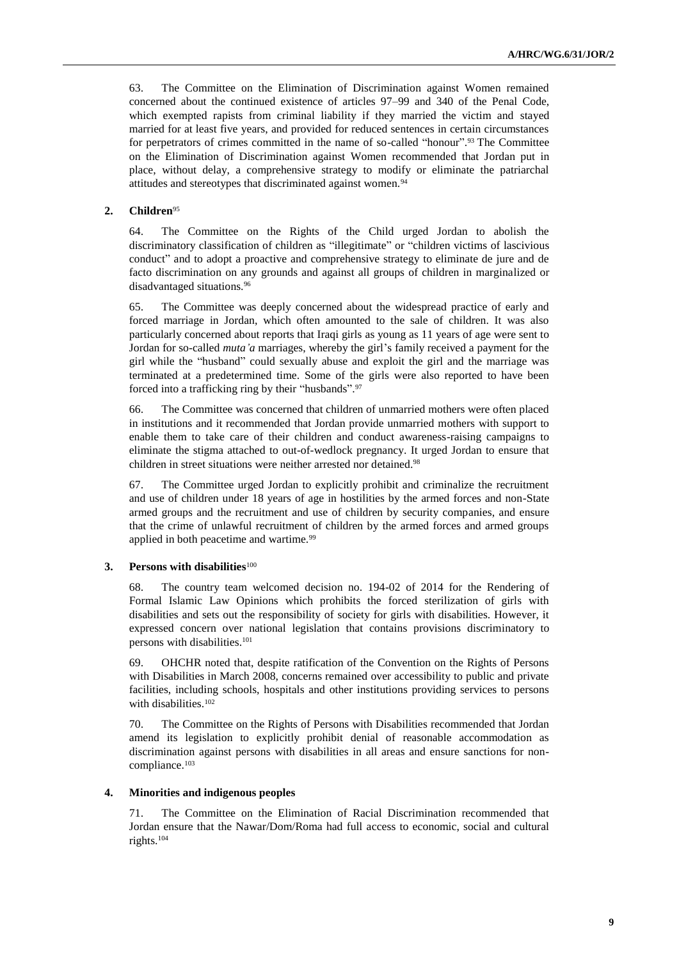63. The Committee on the Elimination of Discrimination against Women remained concerned about the continued existence of articles 97–99 and 340 of the Penal Code, which exempted rapists from criminal liability if they married the victim and stayed married for at least five years, and provided for reduced sentences in certain circumstances for perpetrators of crimes committed in the name of so-called "honour".<sup>93</sup> The Committee on the Elimination of Discrimination against Women recommended that Jordan put in place, without delay, a comprehensive strategy to modify or eliminate the patriarchal attitudes and stereotypes that discriminated against women.<sup>94</sup>

## **2. Children**<sup>95</sup>

64. The Committee on the Rights of the Child urged Jordan to abolish the discriminatory classification of children as "illegitimate" or "children victims of lascivious conduct" and to adopt a proactive and comprehensive strategy to eliminate de jure and de facto discrimination on any grounds and against all groups of children in marginalized or disadvantaged situations.<sup>96</sup>

65. The Committee was deeply concerned about the widespread practice of early and forced marriage in Jordan, which often amounted to the sale of children. It was also particularly concerned about reports that Iraqi girls as young as 11 years of age were sent to Jordan for so-called *muta'a* marriages, whereby the girl's family received a payment for the girl while the "husband" could sexually abuse and exploit the girl and the marriage was terminated at a predetermined time. Some of the girls were also reported to have been forced into a trafficking ring by their "husbands". 97

66. The Committee was concerned that children of unmarried mothers were often placed in institutions and it recommended that Jordan provide unmarried mothers with support to enable them to take care of their children and conduct awareness-raising campaigns to eliminate the stigma attached to out-of-wedlock pregnancy. It urged Jordan to ensure that children in street situations were neither arrested nor detained.<sup>98</sup>

67. The Committee urged Jordan to explicitly prohibit and criminalize the recruitment and use of children under 18 years of age in hostilities by the armed forces and non-State armed groups and the recruitment and use of children by security companies, and ensure that the crime of unlawful recruitment of children by the armed forces and armed groups applied in both peacetime and wartime.<sup>99</sup>

### **3. Persons with disabilities**<sup>100</sup>

68. The country team welcomed decision no. 194-02 of 2014 for the Rendering of Formal Islamic Law Opinions which prohibits the forced sterilization of girls with disabilities and sets out the responsibility of society for girls with disabilities. However, it expressed concern over national legislation that contains provisions discriminatory to persons with disabilities.<sup>101</sup>

69. OHCHR noted that, despite ratification of the Convention on the Rights of Persons with Disabilities in March 2008, concerns remained over accessibility to public and private facilities, including schools, hospitals and other institutions providing services to persons with disabilities.<sup>102</sup>

70. The Committee on the Rights of Persons with Disabilities recommended that Jordan amend its legislation to explicitly prohibit denial of reasonable accommodation as discrimination against persons with disabilities in all areas and ensure sanctions for noncompliance.<sup>103</sup>

#### **4. Minorities and indigenous peoples**

71. The Committee on the Elimination of Racial Discrimination recommended that Jordan ensure that the Nawar/Dom/Roma had full access to economic, social and cultural rights.104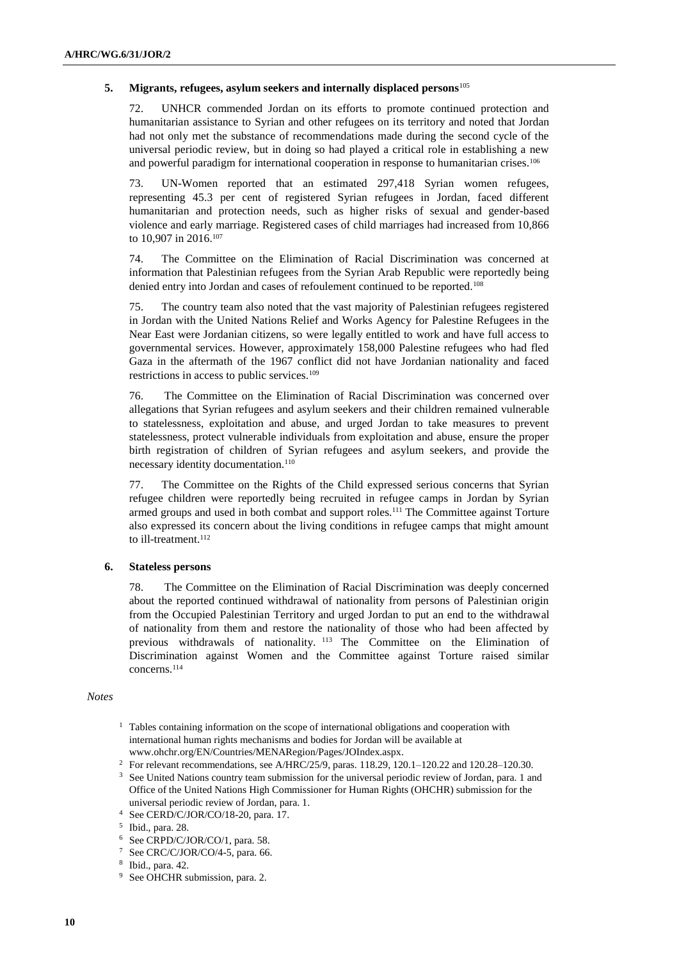## **5. Migrants, refugees, asylum seekers and internally displaced persons**<sup>105</sup>

72. UNHCR commended Jordan on its efforts to promote continued protection and humanitarian assistance to Syrian and other refugees on its territory and noted that Jordan had not only met the substance of recommendations made during the second cycle of the universal periodic review, but in doing so had played a critical role in establishing a new and powerful paradigm for international cooperation in response to humanitarian crises.<sup>106</sup>

73. UN-Women reported that an estimated 297,418 Syrian women refugees, representing 45.3 per cent of registered Syrian refugees in Jordan, faced different humanitarian and protection needs, such as higher risks of sexual and gender-based violence and early marriage. Registered cases of child marriages had increased from 10,866 to 10,907 in 2016.<sup>107</sup>

74. The Committee on the Elimination of Racial Discrimination was concerned at information that Palestinian refugees from the Syrian Arab Republic were reportedly being denied entry into Jordan and cases of refoulement continued to be reported.<sup>108</sup>

75. The country team also noted that the vast majority of Palestinian refugees registered in Jordan with the United Nations Relief and Works Agency for Palestine Refugees in the Near East were Jordanian citizens, so were legally entitled to work and have full access to governmental services. However, approximately 158,000 Palestine refugees who had fled Gaza in the aftermath of the 1967 conflict did not have Jordanian nationality and faced restrictions in access to public services.<sup>109</sup>

76. The Committee on the Elimination of Racial Discrimination was concerned over allegations that Syrian refugees and asylum seekers and their children remained vulnerable to statelessness, exploitation and abuse, and urged Jordan to take measures to prevent statelessness, protect vulnerable individuals from exploitation and abuse, ensure the proper birth registration of children of Syrian refugees and asylum seekers, and provide the necessary identity documentation.<sup>110</sup>

77. The Committee on the Rights of the Child expressed serious concerns that Syrian refugee children were reportedly being recruited in refugee camps in Jordan by Syrian armed groups and used in both combat and support roles.<sup>111</sup> The Committee against Torture also expressed its concern about the living conditions in refugee camps that might amount to ill-treatment.<sup>112</sup>

## **6. Stateless persons**

78. The Committee on the Elimination of Racial Discrimination was deeply concerned about the reported continued withdrawal of nationality from persons of Palestinian origin from the Occupied Palestinian Territory and urged Jordan to put an end to the withdrawal of nationality from them and restore the nationality of those who had been affected by previous withdrawals of nationality. <sup>113</sup> The Committee on the Elimination of Discrimination against Women and the Committee against Torture raised similar concerns.<sup>114</sup>

#### *Notes*

<sup>1</sup> Tables containing information on the scope of international obligations and cooperation with international human rights mechanisms and bodies for Jordan will be available at [www.ohchr.org/EN/Countries/MENARegion/Pages/JOIndex.aspx.](file:///C:/Users/gray/AppData/Roaming/Microsoft/Word/www.ohchr.org/EN/Countries/MENARegion/Pages/JOIndex.aspx)

<sup>3</sup> See United Nations country team submission for the universal periodic review of Jordan, para. 1 and Office of the United Nations High Commissioner for Human Rights (OHCHR) submission for the universal periodic review of Jordan, para. 1.

<sup>&</sup>lt;sup>2</sup> For relevant recommendations, see A/HRC/25/9, paras. 118.29, 120.1–120.22 and 120.28–120.30.

<sup>4</sup> See CERD/C/JOR/CO/18-20, para. 17.

<sup>5</sup> Ibid., para. 28.

<sup>6</sup> See CRPD/C/JOR/CO/1, para. 58.

<sup>7</sup> See CRC/C/JOR/CO/4-5, para. 66.

<sup>8</sup> Ibid., para. 42.

<sup>&</sup>lt;sup>9</sup> See OHCHR submission, para. 2.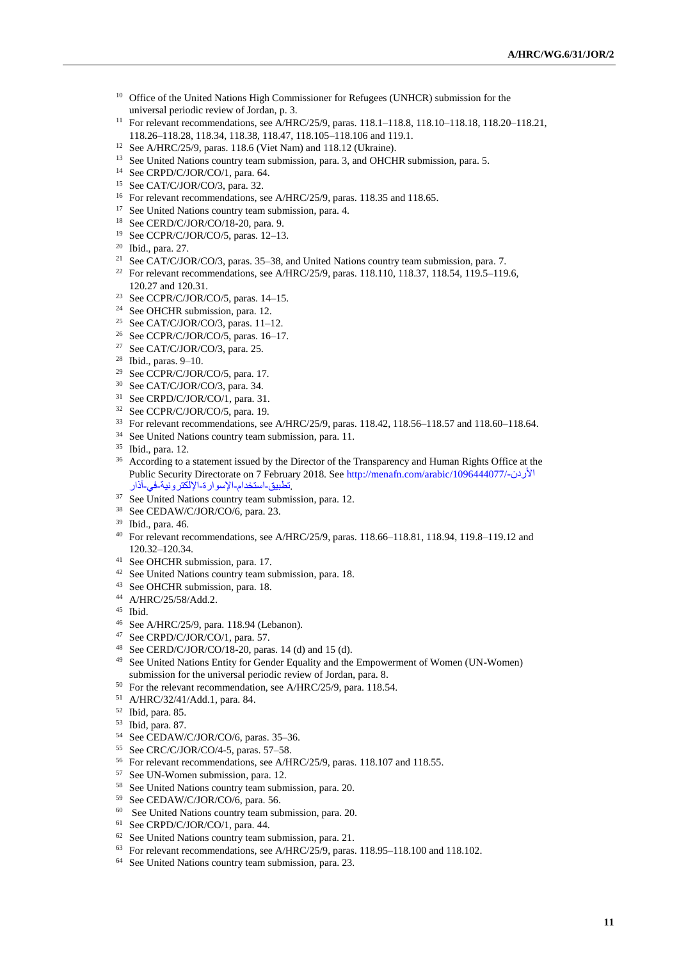- <sup>10</sup> Office of the United Nations High Commissioner for Refugees (UNHCR) submission for the universal periodic review of Jordan, p. 3.
- For relevant recommendations, see A/HRC/25/9, paras. 118.1–118.8, 118.10–118.18, 118.20–118.21, 118.26–118.28, 118.34, 118.38, 118.47, 118.105–118.106 and 119.1.
- See A/HRC/25/9, paras. 118.6 (Viet Nam) and 118.12 (Ukraine).
- <sup>13</sup> See United Nations country team submission, para. 3, and OHCHR submission, para. 5.
- See CRPD/C/JOR/CO/1, para. 64.
- See CAT/C/JOR/CO/3, para. 32.
- <sup>16</sup> For relevant recommendations, see A/HRC/25/9, paras. 118.35 and 118.65.
- <sup>17</sup> See United Nations country team submission, para. 4.
- See CERD/C/JOR/CO/18-20, para. 9.
- See CCPR/C/JOR/CO/5, paras. 12–13.
- Ibid., para. 27.
- <sup>21</sup> See CAT/C/JOR/CO/3, paras.  $35-38$ , and United Nations country team submission, para. 7.
- <sup>22</sup> For relevant recommendations, see A/HRC/25/9, paras. 118.110, 118.37, 118.54, 119.5–119.6, 120.27 and 120.31.
- <sup>23</sup> See CCPR/C/JOR/CO/5, paras.  $14-15$ .
- See OHCHR submission, para. 12.
- <sup>25</sup> See CAT/C/JOR/CO/3, paras.  $11-12$ .
- See CCPR/C/JOR/CO/5, paras. 16–17.
- See CAT/C/JOR/CO/3, para. 25.
- Ibid., paras. 9–10.
- See CCPR/C/JOR/CO/5, para. 17.
- See CAT/C/JOR/CO/3, para. 34.
- See CRPD/C/JOR/CO/1, para. 31.
- See CCPR/C/JOR/CO/5, para. 19.
- For relevant recommendations, see A/HRC/25/9, paras. 118.42, 118.56–118.57 and 118.60–118.64.
- See United Nations country team submission, para. 11.
- Ibid., para. 12.
- <sup>36</sup> According to a statement issued by the Director of the Transparency and Human Rights Office at the Public Security Directorate on 7 February 2018. See [http://menafn.com/arabic/1096444077/](http://menafn.com/arabic/1096444077/الأردن-تطبيق-استخدام-الإسوارة-الإلكترونية-في-آذار)-األردن .[تطبيق-استخدام-اإلسوارة-اإللكترونية-في-آذار](http://menafn.com/arabic/1096444077/الأردن-تطبيق-استخدام-الإسوارة-الإلكترونية-في-آذار)
- <sup>37</sup> See United Nations country team submission, para. 12.
- See CEDAW/C/JOR/CO/6, para. 23.
- Ibid., para. 46.
- For relevant recommendations, see A/HRC/25/9, paras. 118.66–118.81, 118.94, 119.8–119.12 and 120.32–120.34.
- See OHCHR submission, para. 17.
- See United Nations country team submission, para. 18.
- See OHCHR submission, para. 18.
- A/HRC/25/58/Add.2.
- Ibid.
- See A/HRC/25/9, para. 118.94 (Lebanon).
- See CRPD/C/JOR/CO/1, para. 57.
- <sup>48</sup> See CERD/C/JOR/CO/18-20, paras. 14 (d) and 15 (d).
- See United Nations Entity for Gender Equality and the Empowerment of Women (UN-Women) submission for the universal periodic review of Jordan, para. 8.
- For the relevant recommendation, see A/HRC/25/9, para. 118.54.
- A/HRC/32/41/Add.1, para. 84.
- Ibid, para. 85.
- Ibid, para. 87.
- See CEDAW/C/JOR/CO/6, paras. 35–36.
- See CRC/C/JOR/CO/4-5, paras. 57–58.
- For relevant recommendations, see A/HRC/25/9, paras. 118.107 and 118.55.
- See UN-Women submission, para. 12.
- See United Nations country team submission, para. 20.
- See CEDAW/C/JOR/CO/6, para. 56.
- See United Nations country team submission, para. 20.
- See CRPD/C/JOR/CO/1, para. 44.
- See United Nations country team submission, para. 21.
- For relevant recommendations, see A/HRC/25/9, paras. 118.95–118.100 and 118.102.
- See United Nations country team submission, para. 23.